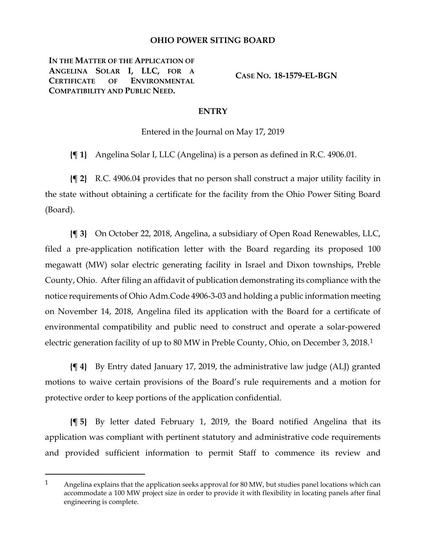## **OHIO POWER SITING BOARD**

**IN THE MATTER OF THE APPLICATION OF ANGELINA SOLAR I, LLC, FOR A CERTIFICATE OF ENVIRONMENTAL COMPATIBILITY AND PUBLIC NEED.**

 $\overline{a}$ 

**CASE NO. 18-1579-EL-BGN**

## **ENTRY**

Entered in the Journal on May 17, 2019

**{¶ 1}** Angelina Solar I, LLC (Angelina) is a person as defined in R.C. 4906.01.

**{¶ 2}** R.C. 4906.04 provides that no person shall construct a major utility facility in the state without obtaining a certificate for the facility from the Ohio Power Siting Board (Board).

**{¶ 3}** On October 22, 2018, Angelina, a subsidiary of Open Road Renewables, LLC, filed a pre-application notification letter with the Board regarding its proposed 100 megawatt (MW) solar electric generating facility in Israel and Dixon townships, Preble County, Ohio. After filing an affidavit of publication demonstrating its compliance with the notice requirements of Ohio Adm.Code 4906-3-03 and holding a public information meeting on November 14, 2018, Angelina filed its application with the Board for a certificate of environmental compatibility and public need to construct and operate a solar-powered electric generation facility of up to 80 MW in Preble County, Ohio, on December 3, 2018.[1](#page-0-0)

**{¶ 4}** By Entry dated January 17, 2019, the administrative law judge (ALJ) granted motions to waive certain provisions of the Board's rule requirements and a motion for protective order to keep portions of the application confidential.

**{¶ 5}** By letter dated February 1, 2019, the Board notified Angelina that its application was compliant with pertinent statutory and administrative code requirements and provided sufficient information to permit Staff to commence its review and

<span id="page-0-0"></span><sup>1</sup> Angelina explains that the application seeks approval for 80 MW, but studies panel locations which can accommodate a 100 MW project size in order to provide it with flexibility in locating panels after final engineering is complete.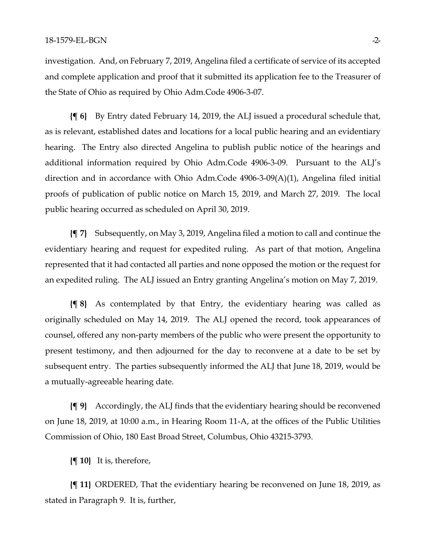investigation. And, on February 7, 2019, Angelina filed a certificate of service of its accepted and complete application and proof that it submitted its application fee to the Treasurer of the State of Ohio as required by Ohio Adm.Code 4906-3-07.

**{¶ 6}** By Entry dated February 14, 2019, the ALJ issued a procedural schedule that, as is relevant, established dates and locations for a local public hearing and an evidentiary hearing. The Entry also directed Angelina to publish public notice of the hearings and additional information required by Ohio Adm.Code 4906-3-09. Pursuant to the ALJ's direction and in accordance with Ohio Adm.Code 4906-3-09(A)(1), Angelina filed initial proofs of publication of public notice on March 15, 2019, and March 27, 2019. The local public hearing occurred as scheduled on April 30, 2019.

**{¶ 7}** Subsequently, on May 3, 2019, Angelina filed a motion to call and continue the evidentiary hearing and request for expedited ruling. As part of that motion, Angelina represented that it had contacted all parties and none opposed the motion or the request for an expedited ruling. The ALJ issued an Entry granting Angelina's motion on May 7, 2019.

**{¶ 8}** As contemplated by that Entry, the evidentiary hearing was called as originally scheduled on May 14, 2019. The ALJ opened the record, took appearances of counsel, offered any non-party members of the public who were present the opportunity to present testimony, and then adjourned for the day to reconvene at a date to be set by subsequent entry. The parties subsequently informed the ALJ that June 18, 2019, would be a mutually-agreeable hearing date.

**{¶ 9}** Accordingly, the ALJ finds that the evidentiary hearing should be reconvened on June 18, 2019, at 10:00 a.m., in Hearing Room 11-A, at the offices of the Public Utilities Commission of Ohio, 180 East Broad Street, Columbus, Ohio 43215-3793.

**{¶ 10}** It is, therefore,

**{¶ 11}** ORDERED, That the evidentiary hearing be reconvened on June 18, 2019, as stated in Paragraph 9. It is, further,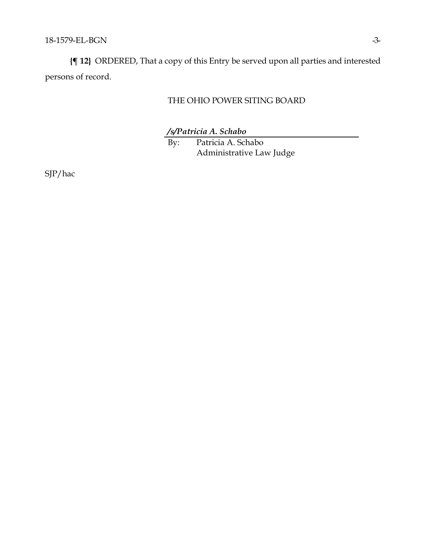**{¶ 12}** ORDERED, That a copy of this Entry be served upon all parties and interested persons of record.

## THE OHIO POWER SITING BOARD

*/s/Patricia A. Schabo*

By: Patricia A. Schabo Administrative Law Judge

SJP/hac